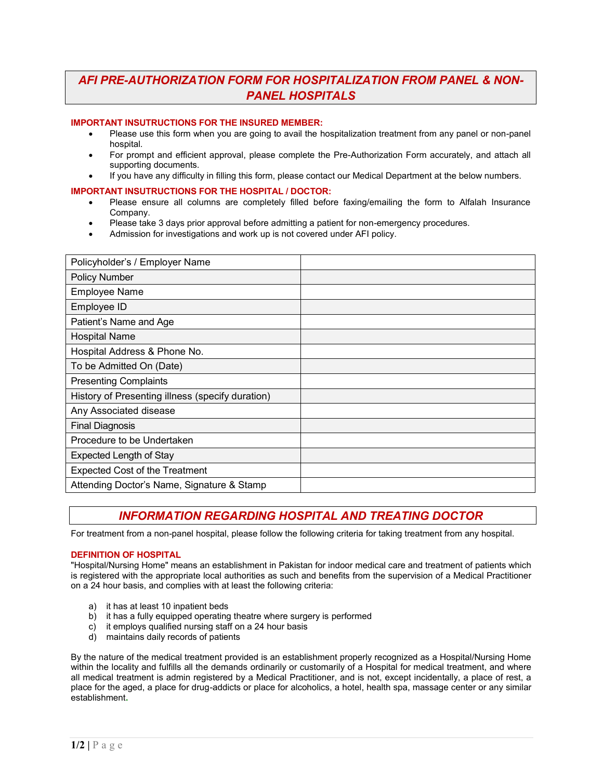# *AFI PRE-AUTHORIZATION FORM FOR HOSPITALIZATION FROM PANEL & NON-PANEL HOSPITALS*

#### **IMPORTANT INSUTRUCTIONS FOR THE INSURED MEMBER:**

- Please use this form when you are going to avail the hospitalization treatment from any panel or non-panel hospital.
- For prompt and efficient approval, please complete the Pre-Authorization Form accurately, and attach all supporting documents.
- If you have any difficulty in filling this form, please contact our Medical Department at the below numbers.

#### **IMPORTANT INSUTRUCTIONS FOR THE HOSPITAL / DOCTOR:**

- Please ensure all columns are completely filled before faxing/emailing the form to Alfalah Insurance Company.
- Please take 3 days prior approval before admitting a patient for non-emergency procedures.
- Admission for investigations and work up is not covered under AFI policy.

| Policyholder's / Employer Name                   |  |
|--------------------------------------------------|--|
| Policy Number                                    |  |
| <b>Employee Name</b>                             |  |
| Employee ID                                      |  |
| Patient's Name and Age                           |  |
| <b>Hospital Name</b>                             |  |
| Hospital Address & Phone No.                     |  |
| To be Admitted On (Date)                         |  |
| <b>Presenting Complaints</b>                     |  |
| History of Presenting illness (specify duration) |  |
| Any Associated disease                           |  |
| <b>Final Diagnosis</b>                           |  |
| Procedure to be Undertaken                       |  |
| Expected Length of Stay                          |  |
| <b>Expected Cost of the Treatment</b>            |  |
| Attending Doctor's Name, Signature & Stamp       |  |

# *INFORMATION REGARDING HOSPITAL AND TREATING DOCTOR*

For treatment from a non-panel hospital, please follow the following criteria for taking treatment from any hospital.

#### **DEFINITION OF HOSPITAL**

"Hospital/Nursing Home" means an establishment in Pakistan for indoor medical care and treatment of patients which is registered with the appropriate local authorities as such and benefits from the supervision of a Medical Practitioner on a 24 hour basis, and complies with at least the following criteria:

- a) it has at least 10 inpatient beds
- b) it has a fully equipped operating theatre where surgery is performed
- c) it employs qualified nursing staff on a 24 hour basis
- d) maintains daily records of patients

By the nature of the medical treatment provided is an establishment properly recognized as a Hospital/Nursing Home within the locality and fulfills all the demands ordinarily or customarily of a Hospital for medical treatment, and where all medical treatment is admin registered by a Medical Practitioner, and is not, except incidentally, a place of rest, a place for the aged, a place for drug-addicts or place for alcoholics, a hotel, health spa, massage center or any similar establishment**.**